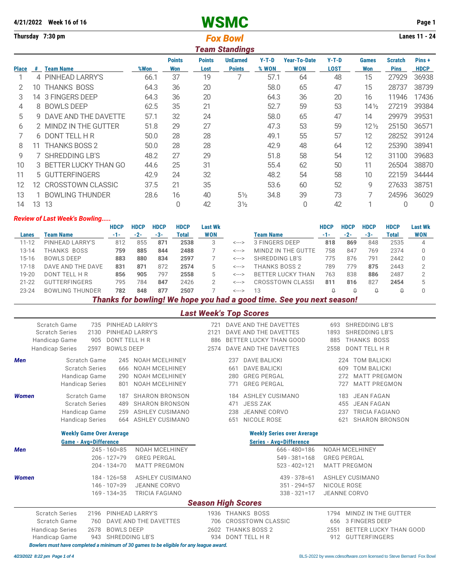## **4/21/2022 Week 16 of 16** WSMC **Page 1**

| Thursday 7:30 pm |     |                          |      |               |               |                       |         | <b>Lanes 11 - 24</b> |             |                 |                |             |
|------------------|-----|--------------------------|------|---------------|---------------|-----------------------|---------|----------------------|-------------|-----------------|----------------|-------------|
|                  |     |                          |      |               |               | <b>Team Standings</b> |         |                      |             |                 |                |             |
|                  |     |                          |      | <b>Points</b> | <b>Points</b> | <b>UnEarned</b>       | $Y-T-D$ | <b>Year-To-Date</b>  | $Y-T-D$     | <b>Games</b>    | <b>Scratch</b> | Pins+       |
| <b>Place</b>     | #   | <b>Team Name</b>         | %Won | Won           | Lost          | <b>Points</b>         | % WON   | <b>WON</b>           | <b>LOST</b> | Won             | <b>Pins</b>    | <b>HDCP</b> |
|                  | 4   | PINHEAD LARRY'S          | 66.1 | 37            | 19            |                       | 57.1    | 64                   | 48          | 15              | 27929          | 36938       |
|                  | 10  | <b>THANKS BOSS</b>       | 64.3 | 36            | 20            |                       | 58.0    | 65                   | 47          | 15              | 28737          | 38739       |
| 3                | 14  | 3 FINGERS DEEP           | 64.3 | 36            | 20            |                       | 64.3    | 36                   | 20          | 16              | 11946          | 17436       |
| 4                | 8   | <b>BOWLS DEEP</b>        | 62.5 | 35            | 21            |                       | 52.7    | 59                   | 53          | 14½             | 27219          | 39384       |
| 5                | 9   | DAVE AND THE DAVETTE     | 57.1 | 32            | 24            |                       | 58.0    | 65                   | 47          | 14              | 29979          | 39531       |
| 6                |     | 2 MINDZ IN THE GUTTER    | 51.8 | 29            | 27            |                       | 47.3    | 53                   | 59          | $12\frac{1}{2}$ | 25150          | 36571       |
|                  |     | 6 DONT TELL H R          | 50.0 | 28            | 28            |                       | 49.1    | 55                   | 57          | 12              | 28252          | 39124       |
| 8                | 11. | <b>THANKS BOSS 2</b>     | 50.0 | 28            | 28            |                       | 42.9    | 48                   | 64          | 12              | 25390          | 38941       |
| 9                |     | <b>SHREDDING LB'S</b>    | 48.2 | 27            | 29            |                       | 51.8    | 58                   | 54          | 12              | 31100          | 39683       |
| 10               |     | 3 BETTER LUCKY THAN GO   | 44.6 | 25            | 31            |                       | 55.4    | 62                   | 50          | 11              | 26504          | 38870       |
| 11               |     | 5 GUTTERFINGERS          | 42.9 | 24            | 32            |                       | 48.2    | 54                   | 58          | 10              | 22159          | 34444       |
| 12               | 12. | <b>CROSSTOWN CLASSIC</b> | 37.5 | 21            | 35            |                       | 53.6    | 60                   | 52          | 9               | 27633          | 38751       |
| 13               |     | <b>BOWLING THUNDER</b>   | 28.6 | 16            | 40            | 5 <sub>2</sub>        | 34.8    | 39                   | 73          | 7               | 24596          | 36029       |
| 14               | 13  | 13                       |      | 0             | 42            | $3\frac{1}{2}$        |         | 0                    | 42          |                 | 0              | 0           |

## *Review of Last Week's Bowling.....*

|           |                        | <b>HDCP</b> | <b>HDCP</b> | <b>HDCP</b> | <b>HDCP</b> | Last Wk    |       |                          | <b>HDCP</b> | <b>HDCP</b> | <b>HDCP</b> | <b>HDCP</b> | <b>Last Wk</b> |
|-----------|------------------------|-------------|-------------|-------------|-------------|------------|-------|--------------------------|-------------|-------------|-------------|-------------|----------------|
| Lanes     | <b>Team Name</b>       | $-1-$       | $-2-$       | -3-         | Total       | <b>WON</b> |       | <b>Team Name</b>         |             | $-2-$       | $-3-$       | Total       | <b>WON</b>     |
| $11 - 12$ | PINHEAD LARRY'S        | 812         | 855         | 871         | 2538        |            | <---> | 3 FINGERS DEEP           | 818         | 869         | 848         | 2535        | 4              |
| 13-14     | THANKS BOSS            | 759         | 885         | 844         | 2488        |            | <---> | MINDZ IN THE GUTTE       | 758         | 847         | 769         | 2374        |                |
| 15-16     | <b>BOWLS DEEP</b>      | 883         | 880         | 834         | 2597        |            | <---> | SHREDDING LB'S           | 775         | 876         | 791         | 2442        |                |
| 17-18     | DAVE AND THE DAVE      | 831         | 871         | 872         | 2574        | 5.         | <---> | THANKS BOSS 2            | 789         | 79          | 875         | 2443        | っ              |
| $19 - 20$ | DONT TELL H R          | 856         | 905         | 797         | 2558        | 5          | <---> | <b>BETTER LUCKY THAN</b> | 763         | 838         | 886         | 2487        | ◠              |
| $21 - 22$ | <b>GUTTERFINGERS</b>   | 795         | 784         | 847         | 2426        |            | <---> | <b>CROSSTOWN CLASSI</b>  | 811         | 816         | 827         | 2454        | 5              |
| $23 - 24$ | <b>BOWLING THUNDER</b> | 782         | 848         | 877         | 2507        |            | <---> | 13                       |             |             | U           |             |                |

*Thanks for bowling! We hope you had a good time. See you next season!*

*Last Week's Top Scores*

|                                 | Scratch Game<br><b>Scratch Series</b><br>Handicap Game<br><b>Handicap Series</b> | 735<br>2130<br>905<br>2597           | DONT TELL H R<br><b>BOWLS DEEP</b> | PINHEAD LARRY'S<br>PINHEAD LARRY'S                                                            | 721<br>2121<br>886<br>2574 |                          | DAVE AND THE DAVETTES<br>DAVE AND THE DAVETTES<br>BETTER LUCKY THAN GOOD<br>DAVE AND THE DAVETTES | 693<br>1893<br>885<br>2558 | <b>SHREDDING LB'S</b><br><b>SHREDDING LB'S</b><br>THANKS BOSS<br>DONT TELL H R                         |
|---------------------------------|----------------------------------------------------------------------------------|--------------------------------------|------------------------------------|-----------------------------------------------------------------------------------------------|----------------------------|--------------------------|---------------------------------------------------------------------------------------------------|----------------------------|--------------------------------------------------------------------------------------------------------|
| <b>Men</b>                      | <b>Scratch Series</b><br>Handicap Game<br><b>Handicap Series</b>                 | Scratch Game                         | 666<br>290<br>801                  | 245 NOAH MCELHINEY<br><b>NOAH MCELHINEY</b><br><b>NOAH MCELHINEY</b><br><b>NOAH MCELHINEY</b> |                            | 237<br>661<br>280<br>771 | <b>DAVE BALICKI</b><br><b>DAVE BALICKI</b><br><b>GREG PERGAL</b><br><b>GREG PERGAL</b>            | 609<br>272<br>727          | 224 TOM BALICKI<br><b>TOM BALICKI</b><br><b>MATT PREGMON</b><br><b>MATT PREGMON</b>                    |
| <b>Women</b>                    | <b>Scratch Series</b><br>Handicap Game<br><b>Handicap Series</b>                 | Scratch Game                         | 187<br>489<br>259<br>664           | <b>SHARON BRONSON</b><br><b>SHARON BRONSON</b><br>ASHLEY CUSIMANO<br>ASHLEY CUSIMANO          |                            | 184<br>471<br>238<br>651 | ASHLEY CUSIMANO<br><b>JESS ZAK</b><br><b>JEANNE CORVO</b><br>NICOLE ROSE                          | 237<br>621                 | <b>JEAN FAGAN</b><br>183<br>455<br><b>JEAN FAGAN</b><br><b>TRICIA FAGIANO</b><br><b>SHARON BRONSON</b> |
| <b>Weekly Game Over Average</b> |                                                                                  |                                      |                                    |                                                                                               |                            |                          | <b>Weekly Series over Average</b>                                                                 |                            |                                                                                                        |
|                                 | <b>Game - Avg=Difference</b>                                                     |                                      |                                    |                                                                                               |                            |                          | <b>Series - Avg=Difference</b>                                                                    |                            |                                                                                                        |
| <b>Men</b>                      | $245 - 160 = 85$                                                                 |                                      |                                    | <b>NOAH MCELHINEY</b>                                                                         |                            |                          | $666 - 480 = 186$                                                                                 |                            | <b>NOAH MCELHINEY</b>                                                                                  |
|                                 |                                                                                  | $206 - 127 = 79$<br>$204 - 134 = 70$ |                                    | <b>GREG PERGAL</b>                                                                            |                            |                          | $549 - 381 = 168$                                                                                 | <b>GREG PERGAL</b>         |                                                                                                        |
|                                 |                                                                                  |                                      |                                    | <b>MATT PREGMON</b>                                                                           |                            |                          | $523 - 402 = 121$                                                                                 |                            | <b>MATT PREGMON</b>                                                                                    |
| <b>Women</b>                    |                                                                                  |                                      | $184 - 126 = 58$                   | <b>ASHLEY CUSIMANO</b>                                                                        |                            |                          | $439 - 378 = 61$                                                                                  |                            | ASHLEY CUSIMANO                                                                                        |
|                                 |                                                                                  |                                      | $146 - 107 = 39$                   | <b>JEANNE CORVO</b>                                                                           |                            |                          | $351 - 294 = 57$                                                                                  | NICOLE ROSE                |                                                                                                        |
|                                 |                                                                                  |                                      | $169 - 134 = 35$                   | <b>TRICIA FAGIANO</b>                                                                         |                            |                          | $338 - 321 = 17$                                                                                  |                            | <b>JEANNE CORVO</b>                                                                                    |
|                                 |                                                                                  |                                      |                                    |                                                                                               | <b>Season High Scores</b>  |                          |                                                                                                   |                            |                                                                                                        |
|                                 | <b>Scratch Series</b>                                                            | 2196                                 |                                    | PINHEAD LARRY'S                                                                               |                            |                          | 1936 THANKS BOSS                                                                                  | 1794                       | MINDZ IN THE GUTTER                                                                                    |
|                                 | Scratch Game                                                                     | 760                                  |                                    | DAVE AND THE DAVETTES                                                                         | 706                        |                          | CROSSTOWN CLASSIC                                                                                 | 656                        | 3 FINGERS DEEP                                                                                         |
|                                 | <b>Handicap Series</b>                                                           | 2678                                 | <b>BOWLS DEEP</b>                  |                                                                                               | 2602                       |                          | <b>THANKS BOSS 2</b>                                                                              | 2551                       | BETTER LUCKY THAN GOOD                                                                                 |
|                                 | Handicap Game                                                                    | 943                                  | <b>SHREDDING LB'S</b>              |                                                                                               |                            |                          | 934 DONT TELL H R                                                                                 | 912                        | <b>GUTTERFINGERS</b>                                                                                   |
|                                 |                                                                                  |                                      |                                    | Bowlers must have completed a minimum of 30 games to be eligible for any league award.        |                            |                          |                                                                                                   |                            |                                                                                                        |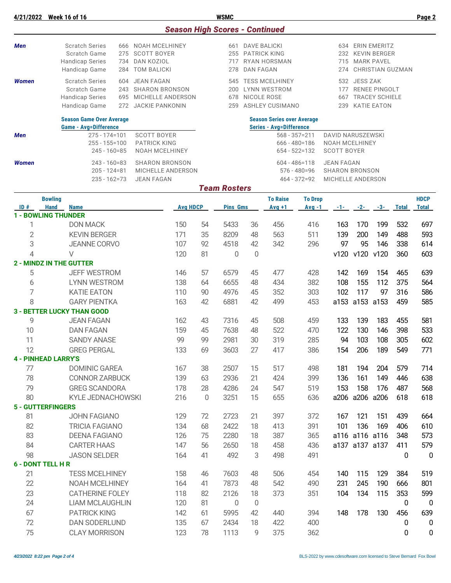|                |                                                                 |                        |                 | <b>Season High Scores - Continued</b> |                     |                                                                     |                   |                       |                |                       |                  |                  |
|----------------|-----------------------------------------------------------------|------------------------|-----------------|---------------------------------------|---------------------|---------------------------------------------------------------------|-------------------|-----------------------|----------------|-----------------------|------------------|------------------|
| <b>Men</b>     | <b>Scratch Series</b><br>666                                    | NOAH MCELHINEY         |                 | 661                                   | <b>DAVE BALICKI</b> |                                                                     |                   |                       |                | 634 ERIN EMERITZ      |                  |                  |
|                | Scratch Game<br>275                                             | <b>SCOTT BOYER</b>     |                 | 255                                   |                     | PATRICK KING                                                        |                   |                       |                | 232 KEVIN BERGER      |                  |                  |
|                | <b>Handicap Series</b><br>734                                   | <b>DAN KOZIOL</b>      |                 | 717                                   |                     | RYAN HORSMAN                                                        |                   | 715                   |                | MARK PAVEL            |                  |                  |
|                | Handicap Game<br>284                                            | <b>TOM BALICKI</b>     |                 | 278                                   | <b>DAN FAGAN</b>    |                                                                     |                   | 274                   |                |                       | CHRISTIAN GUZMAN |                  |
| <b>Women</b>   | <b>Scratch Series</b><br>604                                    | <b>JEAN FAGAN</b>      |                 | 545                                   |                     | <b>TESS MCELHINEY</b>                                               |                   |                       | 532 JESS ZAK   |                       |                  |                  |
|                | Scratch Game<br>243                                             | <b>SHARON BRONSON</b>  |                 | 200                                   |                     | <b>LYNN WESTROM</b>                                                 |                   |                       |                | 177 RENEE PINGOLT     |                  |                  |
|                | <b>Handicap Series</b><br>695                                   | MICHELLE ANDERSON      |                 | 678                                   | NICOLE ROSE         |                                                                     |                   | 667                   |                | <b>TRACEY SCHIELE</b> |                  |                  |
|                | Handicap Game<br>272                                            | <b>JACKIE PANKONIN</b> |                 | 259                                   |                     | <b>ASHLEY CUSIMANO</b>                                              |                   | 239                   |                | <b>KATIE EATON</b>    |                  |                  |
|                | <b>Season Game Over Average</b><br><b>Game - Avg=Difference</b> |                        |                 |                                       |                     | <b>Season Series over Average</b><br><b>Series - Avg=Difference</b> |                   |                       |                |                       |                  |                  |
| Men            | $275 - 174 = 101$                                               | <b>SCOTT BOYER</b>     |                 |                                       |                     |                                                                     | $568 - 357 = 211$ | DAVID NARUSZEWSKI     |                |                       |                  |                  |
|                | $255 - 155 = 100$                                               | <b>PATRICK KING</b>    |                 |                                       |                     |                                                                     | $666 - 480 = 186$ | <b>NOAH MCELHINEY</b> |                |                       |                  |                  |
|                | $245 - 160 = 85$                                                | NOAH MCELHINEY         |                 |                                       |                     |                                                                     | $654 - 522 = 132$ | <b>SCOTT BOYER</b>    |                |                       |                  |                  |
| <b>Women</b>   | $243 - 160 = 83$                                                | <b>SHARON BRONSON</b>  |                 |                                       |                     |                                                                     | $604 - 486 = 118$ | <b>JEAN FAGAN</b>     |                |                       |                  |                  |
|                | $205 - 124 = 81$                                                | MICHELLE ANDERSON      |                 |                                       |                     |                                                                     | $576 - 480 = 96$  | <b>SHARON BRONSON</b> |                |                       |                  |                  |
|                | $235 - 162 = 73$                                                | <b>JEAN FAGAN</b>      |                 |                                       |                     |                                                                     | $464 - 372 = 92$  | MICHELLE ANDERSON     |                |                       |                  |                  |
|                |                                                                 |                        |                 | <b>Team Rosters</b>                   |                     |                                                                     |                   |                       |                |                       |                  |                  |
| ID#            | <b>Bowling</b><br><b>Hand</b>                                   |                        | <b>Avg HDCP</b> | <b>Pins Gms</b>                       |                     | <b>To Raise</b>                                                     | <b>To Drop</b>    |                       |                |                       |                  | <b>HDCP</b>      |
|                | <b>Name</b><br><b>1 - BOWLING THUNDER</b>                       |                        |                 |                                       |                     | $Avg +1$                                                            | $Avg -1$          | $-1-$                 | $-2-$          | $-3-$                 | <b>Total</b>     | <b>Total</b>     |
| 1              | <b>DON MACK</b>                                                 | 150                    | 54              | 5433                                  | 36                  | 456                                                                 | 416               | 163                   | 170            | 199                   | 532              | 697              |
| $\overline{2}$ | <b>KEVIN BERGER</b>                                             | 171                    | 35              | 8209                                  | 48                  | 563                                                                 | 511               | 139                   | 200            | 149                   | 488              | 593              |
| 3              | <b>JEANNE CORVO</b>                                             | 107                    | 92              | 4518                                  | 42                  | 342                                                                 | 296               | 97                    | 95             | 146                   | 338              | 614              |
| 4              | V                                                               | 120                    | 81              | 0                                     | $\mathbf 0$         |                                                                     |                   | v120                  |                | v120 v120             | 360              | 603              |
|                | <b>2 - MINDZ IN THE GUTTER</b>                                  |                        |                 |                                       |                     |                                                                     |                   |                       |                |                       |                  |                  |
| 5              | <b>JEFF WESTROM</b>                                             | 146                    | 57              | 6579                                  | 45                  | 477                                                                 | 428               | 142                   | 169            | 154                   | 465              | 639              |
| 6              | <b>LYNN WESTROM</b>                                             | 138                    | 64              | 6655                                  | 48                  | 434                                                                 | 382               | 108                   | 155            | 112                   | 375              | 564              |
| 7              | <b>KATIE EATON</b>                                              | 110                    | 90              | 4976                                  | 45                  | 352                                                                 | 303               | 102                   | 117            | 97                    | 316              | 586              |
| 8              | <b>GARY PIENTKA</b>                                             | 163                    | 42              | 6881                                  | 42                  | 499                                                                 | 453               |                       | a153 a153 a153 |                       | 459              | 585              |
|                | <b>3 - BETTER LUCKY THAN GOOD</b>                               |                        |                 |                                       |                     |                                                                     |                   |                       |                |                       |                  |                  |
| 9              | <b>JEAN FAGAN</b>                                               | 162                    | 43              | 7316                                  | 45                  | 508                                                                 | 459               | 133                   | 139            | 183                   | 455              | 581              |
| 10             | <b>DAN FAGAN</b>                                                | 159                    | 45              | 7638                                  | 48                  | 522                                                                 | 470               | 122                   | 130            | 146                   | 398              | 533              |
| 11             | <b>SANDY ANASE</b>                                              | 99                     | 99              | 2981                                  | 30                  | 319                                                                 | 285               | 94                    | 103            | 108                   | 305              | 602              |
| 12             | <b>GREG PERGAL</b>                                              | 133                    | 69              | 3603                                  | 27                  | 417                                                                 | 386               | 154                   | 206            | 189                   | 549              | 771              |
|                | <b>4 - PINHEAD LARRY'S</b>                                      |                        |                 |                                       |                     |                                                                     |                   |                       |                |                       |                  |                  |
| 77             | <b>DOMINIC GAREA</b>                                            | 167                    | 38              | 2507                                  | 15                  | 517                                                                 | 498               | 181                   | 194            | 204                   | 579              | 714              |
| 78             | <b>CONNOR ZARBUCK</b>                                           | 139                    | 63              | 2936                                  | 21                  | 424                                                                 | 399               | 136                   | 161            | 149                   | 446              | 638              |
| 79             | <b>GREG SCANDORA</b>                                            | 178                    | 28              | 4286                                  | 24                  | 547                                                                 | 519               | 153                   | 158            | 176                   | 487              | 568              |
| 80             | KYLE JEDNACHOWSKI                                               | 216                    | $\overline{0}$  | 3251                                  | 15                  | 655                                                                 | 636               |                       | a206 a206 a206 |                       | 618              | 618              |
|                | <b>5 - GUTTERFINGERS</b>                                        |                        |                 |                                       |                     |                                                                     |                   |                       |                |                       |                  |                  |
| 81             | JOHN FAGIANO                                                    | 129                    | 72              | 2723                                  | 21                  | 397                                                                 | 372               | 167                   | 121            | 151                   | 439              | 664              |
| 82             | <b>TRICIA FAGIANO</b>                                           | 134                    | 68              | 2422                                  | 18                  | 413                                                                 | 391               | 101                   | 136            | 169                   | 406              | 610              |
| 83             | <b>DEENA FAGIANO</b>                                            | 126                    | 75              | 2280                                  | 18                  | 387                                                                 | 365               |                       | a116 a116 a116 |                       | 348              | 573              |
| 84             | <b>CARTER HAAS</b>                                              | 147                    | 56              | 2650                                  | 18                  | 458                                                                 | 436               |                       | a137 a137 a137 |                       | 411              | 579              |
| 98             | <b>JASON SELDER</b>                                             | 164                    | 41              | 492                                   | 3                   | 498                                                                 | 491               |                       |                |                       | $\mathbf 0$      | $\mathbf 0$      |
|                | 6 - DONT TELL H R                                               |                        |                 |                                       |                     |                                                                     |                   |                       |                |                       |                  |                  |
| 21             | <b>TESS MCELHINEY</b>                                           | 158                    | 46              | 7603                                  | 48                  | 506                                                                 | 454               | 140                   | 115            | 129                   | 384              | 519              |
| 22             | NOAH MCELHINEY                                                  | 164                    | 41              | 7873                                  | 48                  | 542                                                                 | 490               | 231                   | 245            | 190                   | 666              | 801              |
| 23             | <b>CATHERINE FOLEY</b>                                          | 118                    | 82              | 2126                                  | 18                  | 373                                                                 | 351               | 104                   | 134            | 115                   | 353              | 599              |
| 24             | <b>LIAM MCLAUGHLIN</b>                                          | 120                    | 81              | $\overline{0}$                        | $\overline{0}$      |                                                                     |                   |                       |                |                       | $\mathbf 0$      | 0                |
| 67             | <b>PATRICK KING</b>                                             | 142                    | 61              | 5995                                  | 42                  | 440                                                                 | 394               | 148                   | 178            | 130                   | 456              | 639              |
| 72             | <b>DAN SODERLUND</b>                                            | 135                    | 67              | 2434                                  | 18                  | 422                                                                 | 400               |                       |                |                       | 0                | $\boldsymbol{0}$ |
| 75             | <b>CLAY MORRISON</b>                                            | 123                    | 78              | 1113                                  | 9                   | 375                                                                 | 362               |                       |                |                       | 0                | 0                |

**4/21/2022 Week 16 of 16 WSMC Page 2**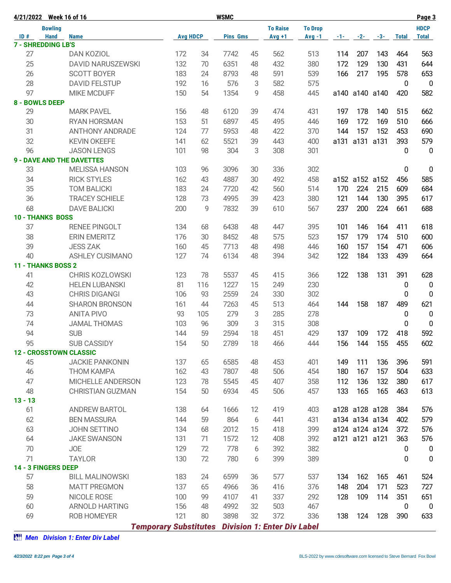|           | 4/21/2022 Week 16 of 16   |                                  |                              |     | <b>WSMC</b>     |    |                                    |                |      |                |                |              | Page 3           |
|-----------|---------------------------|----------------------------------|------------------------------|-----|-----------------|----|------------------------------------|----------------|------|----------------|----------------|--------------|------------------|
|           | <b>Bowling</b>            |                                  |                              |     |                 |    | <b>To Raise</b>                    | <b>To Drop</b> |      |                |                |              | <b>HDCP</b>      |
| ID#       | <b>Hand</b>               | <b>Name</b>                      | <b>Avg HDCP</b>              |     | <b>Pins Gms</b> |    | $Avg +1$                           | $Avg -1$       |      | $-1 - 2$       | $-3-$          | <b>Total</b> | <b>Total</b>     |
|           | <b>7 - SHREDDING LB'S</b> |                                  |                              |     |                 |    |                                    |                |      |                |                |              |                  |
| 27        |                           | <b>DAN KOZIOL</b>                | 172                          | 34  | 7742            | 45 | 562                                | 513            | 114  | 207            | 143            | 464          | 563              |
| 25        |                           | <b>DAVID NARUSZEWSKI</b>         | 132                          | 70  | 6351            | 48 | 432                                | 380            | 172  | 129            | 130            | 431          | 644              |
| 26        |                           | <b>SCOTT BOYER</b>               | 183                          | 24  | 8793            | 48 | 591                                | 539            | 166  | 217            | 195            | 578          | 653              |
| 28<br>97  |                           | <b>DAVID FELSTUP</b>             | 192                          | 16  | 576             | 3  | 582                                | 575            |      |                |                | $\mathbf 0$  | $\overline{0}$   |
|           | <b>8 - BOWLS DEEP</b>     | <b>MIKE MCDUFF</b>               | 150                          | 54  | 1354            | 9  | 458                                | 445            |      | a140 a140 a140 |                | 420          | 582              |
| 29        |                           | <b>MARK PAVEL</b>                | 156                          | 48  | 6120            | 39 | 474                                | 431            | 197  | 178            | 140            | 515          | 662              |
| 30        |                           | <b>RYAN HORSMAN</b>              | 153                          | 51  | 6897            | 45 | 495                                | 446            | 169  | 172            | 169            | 510          | 666              |
| 31        |                           | <b>ANTHONY ANDRADE</b>           | 124                          | 77  | 5953            | 48 | 422                                | 370            | 144  | 157            | 152            | 453          | 690              |
| 32        |                           | <b>KEVIN OKEEFE</b>              | 141                          | 62  | 5521            | 39 | 443                                | 400            | a131 |                | a131 a131      | 393          | 579              |
| 96        |                           | <b>JASON LENGS</b>               | 101                          | 98  | 304             | 3  | 308                                | 301            |      |                |                | 0            | $\mathbf 0$      |
|           |                           | <b>9 - DAVE AND THE DAVETTES</b> |                              |     |                 |    |                                    |                |      |                |                |              |                  |
| 33        |                           | <b>MELISSA HANSON</b>            | 103                          | 96  | 3096            | 30 | 336                                | 302            |      |                |                | 0            | $\mathbf 0$      |
| 34        |                           | <b>RICK STYLES</b>               | 162                          | 43  | 4887            | 30 | 492                                | 458            |      |                | a152 a152 a152 | 456          | 585              |
| 35        |                           | <b>TOM BALICKI</b>               | 183                          | 24  | 7720            | 42 | 560                                | 514            | 170  | 224            | 215            | 609          | 684              |
| 36        |                           | <b>TRACEY SCHIELE</b>            | 128                          | 73  | 4995            | 39 | 423                                | 380            | 121  | 144            | 130            | 395          | 617              |
| 68        |                           | <b>DAVE BALICKI</b>              | 200                          | 9   | 7832            | 39 | 610                                | 567            | 237  | 200            | 224            | 661          | 688              |
|           | <b>10 - THANKS BOSS</b>   |                                  |                              |     |                 |    |                                    |                |      |                |                |              |                  |
| 37        |                           | RENEE PINGOLT                    | 134                          | 68  | 6438            | 48 | 447                                | 395            | 101  | 146            | 164            | 411          | 618              |
| 38        |                           | <b>ERIN EMERITZ</b>              | 176                          | 30  | 8452            | 48 | 575                                | 523            | 157  | 179            | 174            | 510          | 600              |
| 39        |                           | <b>JESS ZAK</b>                  | 160                          | 45  | 7713            | 48 | 498                                | 446            | 160  | 157            | 154            | 471          | 606              |
| 40        |                           | <b>ASHLEY CUSIMANO</b>           | 127                          | 74  | 6134            | 48 | 394                                | 342            | 122  | 184            | 133            | 439          | 664              |
|           | 11 - THANKS BOSS 2        |                                  |                              |     |                 |    |                                    |                |      |                |                |              |                  |
| 41        |                           | <b>CHRIS KOZLOWSKI</b>           | 123                          | 78  | 5537            | 45 | 415                                | 366            | 122  | 138            | 131            | 391          | 628              |
| 42        |                           | <b>HELEN LUBANSKI</b>            | 81                           | 116 | 1227            | 15 | 249                                | 230            |      |                |                | 0            | $\overline{0}$   |
| 43        |                           | <b>CHRIS DIGANGI</b>             | 106                          | 93  | 2559            | 24 | 330                                | 302            |      |                |                | 0            | 0                |
| 44        |                           | <b>SHARON BRONSON</b>            | 161                          | 44  | 7263            | 45 | 513                                | 464            | 144  | 158            | 187            | 489          | 621              |
| 73        |                           | <b>ANITA PIVO</b>                | 93                           | 105 | 279             | 3  | 285                                | 278            |      |                |                | 0            | $\boldsymbol{0}$ |
| 74        |                           | <b>JAMAL THOMAS</b>              | 103                          | 96  | 309             | 3  | 315                                | 308            |      |                |                | 0            | $\mathbf 0$      |
| 94        |                           | <b>SUB</b>                       | 144                          | 59  | 2594            | 18 | 451                                | 429            | 137  | 109            | 172            | 418          | 592              |
| 95        |                           | <b>SUB CASSIDY</b>               | 154                          | 50  | 2789            | 18 | 466                                | 444            | 156  | 144            | 155            | 455          | 602              |
|           |                           | 12 - CROSSTOWN CLASSIC           |                              |     |                 |    |                                    |                |      |                |                |              |                  |
| 45        |                           | <b>JACKIE PANKONIN</b>           | 137                          | 65  | 6585            | 48 | 453                                | 401            | 149  | 111            | 136            | 396          | 591              |
| 46        |                           | <b>THOM KAMPA</b>                | 162                          | 43  | 7807            | 48 | 506                                | 454            | 180  | 167            | 157            | 504          | 633              |
| 47        |                           | MICHELLE ANDERSON                | 123                          | 78  | 5545            | 45 | 407                                | 358            | 112  | 136            | 132            | 380          | 617              |
| 48        |                           | <b>CHRISTIAN GUZMAN</b>          | 154                          | 50  | 6934            | 45 | 506                                | 457            | 133  | 165            | 165            | 463          | 613              |
| $13 - 13$ |                           |                                  |                              |     |                 |    |                                    |                |      |                |                |              |                  |
| 61        |                           | <b>ANDREW BARTOL</b>             | 138                          | 64  | 1666            | 12 | 419                                | 403            |      |                | a128 a128 a128 | 384          | 576              |
| 62        |                           | <b>BEN MASSURA</b>               | 144                          | 59  | 864             | 6  | 441                                | 431            |      |                | a134 a134 a134 | 402          | 579              |
| 63        |                           | JOHN SETTINO                     | 134                          | 68  | 2012            | 15 | 418                                | 399            |      |                | a124 a124 a124 | 372          | 576              |
| 64        |                           | JAKE SWANSON                     | 131                          | 71  | 1572            | 12 | 408                                | 392            |      | a121 a121 a121 |                | 363          | 576              |
| 70        |                           | <b>JOE</b>                       | 129                          | 72  | 778             | 6  | 392                                | 382            |      |                |                | 0            | $\boldsymbol{0}$ |
| 71        |                           | <b>TAYLOR</b>                    | 130                          | 72  | 780             | 6  | 399                                | 389            |      |                |                | 0            | $\pmb{0}$        |
|           | 14 - 3 FINGERS DEEP       |                                  |                              |     |                 |    |                                    |                |      |                |                |              |                  |
| 57        |                           | <b>BILL MALINOWSKI</b>           | 183                          | 24  | 6599            | 36 | 577                                | 537            | 134  | 162            | 165            | 461          | 524              |
| 58        |                           | <b>MATT PREGMON</b>              | 137                          | 65  | 4966            | 36 | 416                                | 376            | 148  | 204            | 171            | 523          | 727              |
| 59        |                           | NICOLE ROSE                      | 100                          | 99  | 4107            | 41 | 337                                | 292            | 128  | 109            | 114            | 351          | 651              |
| 60        |                           | <b>ARNOLD HARTING</b>            | 156                          | 48  | 4992            | 32 | 503                                | 467            |      |                |                | 0            | $\mathbf 0$      |
| 69        |                           | <b>ROB HOMEYER</b>               | 121                          | 80  | 3898            | 32 | 372                                | 336            | 138  | 124            | 128            | 390          | 633              |
|           |                           |                                  | <b>Temporary Substitutes</b> |     |                 |    | <b>Division 1: Enter Div Label</b> |                |      |                |                |              |                  |

*Men Division 1: Enter Div Label*